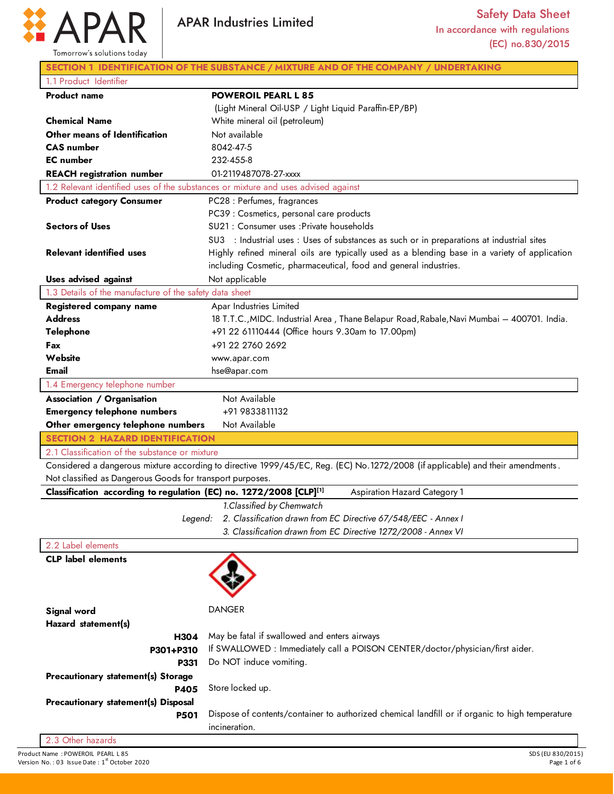

|                                                                    |             | <b>APAR Industries Limited</b>                                                                                                 | <b>Safety Data Sheet</b>                                                                        |
|--------------------------------------------------------------------|-------------|--------------------------------------------------------------------------------------------------------------------------------|-------------------------------------------------------------------------------------------------|
|                                                                    |             |                                                                                                                                | In accordance with regulations                                                                  |
|                                                                    |             |                                                                                                                                | (EC) no.830/2015                                                                                |
| Tomorrow's solutions today                                         |             |                                                                                                                                |                                                                                                 |
|                                                                    |             | SECTION 1 IDENTIFICATION OF THE SUBSTANCE / MIXTURE AND OF THE COMPANY / UNDERTAKING                                           |                                                                                                 |
| 1.1 Product Identifier                                             |             |                                                                                                                                |                                                                                                 |
| <b>Product name</b>                                                |             | <b>POWEROIL PEARL L 85</b>                                                                                                     |                                                                                                 |
|                                                                    |             | (Light Mineral Oil-USP / Light Liquid Paraffin-EP/BP)                                                                          |                                                                                                 |
| <b>Chemical Name</b>                                               |             | White mineral oil (petroleum)                                                                                                  |                                                                                                 |
| Other means of Identification                                      |             | Not available                                                                                                                  |                                                                                                 |
| <b>CAS</b> number                                                  |             | 8042-47-5                                                                                                                      |                                                                                                 |
| <b>EC</b> number                                                   |             | 232-455-8                                                                                                                      |                                                                                                 |
| <b>REACH registration number</b>                                   |             | 01-2119487078-27-xxxx                                                                                                          |                                                                                                 |
|                                                                    |             | 1.2 Relevant identified uses of the substances or mixture and uses advised against                                             |                                                                                                 |
| <b>Product category Consumer</b>                                   |             | PC28 : Perfumes, fragrances                                                                                                    |                                                                                                 |
|                                                                    |             | PC39 : Cosmetics, personal care products                                                                                       |                                                                                                 |
| <b>Sectors of Uses</b>                                             |             | SU21 : Consumer uses : Private households                                                                                      |                                                                                                 |
| <b>Relevant identified uses</b>                                    |             | SU3 : Industrial uses : Uses of substances as such or in preparations at industrial sites                                      |                                                                                                 |
|                                                                    |             | including Cosmetic, pharmaceutical, food and general industries.                                                               | Highly refined mineral oils are typically used as a blending base in a variety of application   |
| <b>Uses advised against</b>                                        |             | Not applicable                                                                                                                 |                                                                                                 |
| 1.3 Details of the manufacture of the safety data sheet            |             |                                                                                                                                |                                                                                                 |
| Registered company name                                            |             | Apar Industries Limited                                                                                                        |                                                                                                 |
| <b>Address</b>                                                     |             |                                                                                                                                | 18 T.T.C., MIDC. Industrial Area, Thane Belapur Road, Rabale, Navi Mumbai - 400701. India.      |
| <b>Telephone</b>                                                   |             | +91 22 61110444 (Office hours 9.30am to 17.00pm)                                                                               |                                                                                                 |
| Fax                                                                |             | +91 22 2760 2692                                                                                                               |                                                                                                 |
| Website                                                            |             | www.apar.com                                                                                                                   |                                                                                                 |
| Email                                                              |             | hse@apar.com                                                                                                                   |                                                                                                 |
| 1.4 Emergency telephone number                                     |             |                                                                                                                                |                                                                                                 |
| <b>Association / Organisation</b>                                  |             | Not Available                                                                                                                  |                                                                                                 |
| <b>Emergency telephone numbers</b>                                 |             | +91 9833811132                                                                                                                 |                                                                                                 |
| Other emergency telephone numbers                                  |             | Not Available                                                                                                                  |                                                                                                 |
| <b>SECTION 2 HAZARD IDENTIFICATION</b>                             |             |                                                                                                                                |                                                                                                 |
| 2.1 Classification of the substance or mixture                     |             |                                                                                                                                |                                                                                                 |
|                                                                    |             | Considered a dangerous mixture according to directive 1999/45/EC, Reg. (EC) No.1272/2008 (if applicable) and their amendments. |                                                                                                 |
| Not classified as Dangerous Goods for transport purposes.          |             |                                                                                                                                |                                                                                                 |
| Classification according to regulation (EC) no. 1272/2008 [CLP][1] |             |                                                                                                                                | Aspiration Hazard Category 1                                                                    |
|                                                                    |             | 1. Classified by Chemwatch                                                                                                     |                                                                                                 |
|                                                                    | Legend:     | 2. Classification drawn from EC Directive 67/548/EEC - Annex I                                                                 |                                                                                                 |
|                                                                    |             | 3. Classification drawn from EC Directive 1272/2008 - Annex VI                                                                 |                                                                                                 |
| 2.2 Label elements                                                 |             |                                                                                                                                |                                                                                                 |
| <b>CLP</b> label elements                                          |             |                                                                                                                                |                                                                                                 |
|                                                                    |             |                                                                                                                                |                                                                                                 |
|                                                                    |             |                                                                                                                                |                                                                                                 |
|                                                                    |             |                                                                                                                                |                                                                                                 |
| Signal word                                                        |             | <b>DANGER</b>                                                                                                                  |                                                                                                 |
| Hazard statement(s)                                                |             |                                                                                                                                |                                                                                                 |
|                                                                    | H304        | May be fatal if swallowed and enters airways                                                                                   |                                                                                                 |
| P301+P310                                                          |             | If SWALLOWED : Immediately call a POISON CENTER/doctor/physician/first aider.                                                  |                                                                                                 |
|                                                                    | <b>P331</b> | Do NOT induce vomiting.                                                                                                        |                                                                                                 |
| Precautionary statement(s) Storage                                 |             |                                                                                                                                |                                                                                                 |
|                                                                    | <b>P405</b> | Store locked up.                                                                                                               |                                                                                                 |
| <b>Precautionary statement(s) Disposal</b>                         |             |                                                                                                                                |                                                                                                 |
|                                                                    | <b>P501</b> |                                                                                                                                | Dispose of contents/container to authorized chemical landfill or if organic to high temperature |
|                                                                    |             | incineration.                                                                                                                  |                                                                                                 |

2.3 Other hazards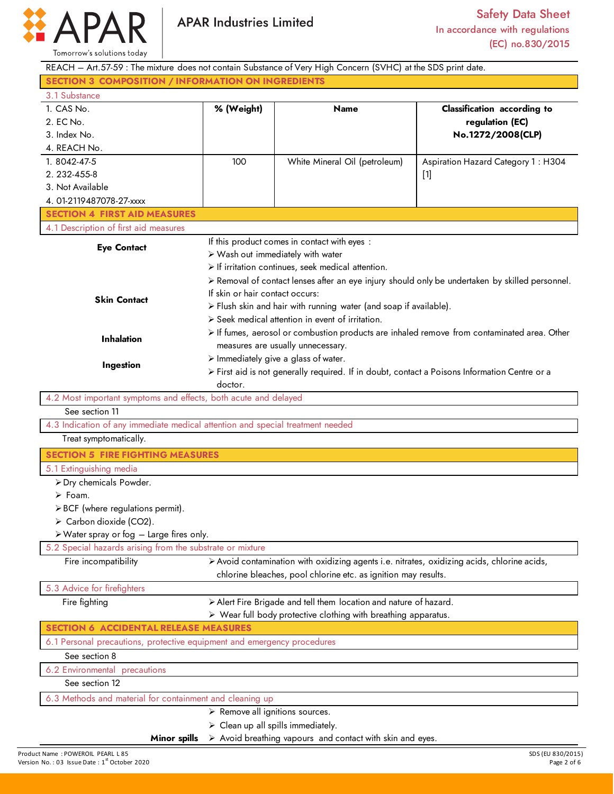

Product Name : POWEROIL PEARL L 85 SDS (EU 830/2015)<br>
Product Name : POWEROIL PEARL L 85 SOS (EU 830/2015)<br>
Page 2 of 6 Space 2 of 6 Space 2 of 6 Space 2 of 6 Space 2 of 6 Space 2 of 6 Space 2 of 6 Space 2 of 6 Space 2 of REACH – Art.57-59 : The mixture does not contain Substance of Very High Concern (SVHC) at the SDS print date. **SECTION 3 COMPOSITION / INFORMATION ON INGREDIENTS** 3.1 Substance 1. CAS No. 2. EC No. 3. Index No. 4. REACH No. **% (Weight) Name Classification according to regulation (EC) No.1272/2008(CLP)**  1. 8042-47-5 2. 232-455-8 3. Not Available 4. 01-2119487078-27-xxxx 100 White Mineral Oil (petroleum) Aspiration Hazard Category 1 : H304 [1] **SECTION 4 FIRST AID MEASURES** 4.1 Description of first aid measures **Eye Contact Skin Contact Inhalation Ingestion** If this product comes in contact with eyes : Wash out immediately with water  $\triangleright$  If irritation continues, seek medical attention. Removal of contact lenses after an eye injury should only be undertaken by skilled personnel. If skin or hair contact occurs:  $\triangleright$  Flush skin and hair with running water (and soap if available).  $\triangleright$  Seek medical attention in event of irritation. If fumes, aerosol or combustion products are inhaled remove from contaminated area. Other measures are usually unnecessary.  $\triangleright$  Immediately give a glass of water. First aid is not generally required. If in doubt, contact a Poisons Information Centre or a doctor. 4.2 Most important symptoms and effects, both acute and delayed See section 11 4.3 Indication of any immediate medical attention and special treatment needed Treat symptomatically. **SECTION 5 FIRE FIGHTING MEASURES** 5.1 Extinguishing media Dry chemicals Powder. Foam.  $\triangleright$  BCF (where regulations permit).  $\triangleright$  Carbon dioxide (CO2). Water spray or fog – Large fires only. 5.2 Special hazards arising from the substrate or mixture Fire incompatibility **Avoid contamination with oxidizing agents i.e. nitrates, oxidizing acids, chlorine acids,** chlorine bleaches, pool chlorine etc. as ignition may results. 5.3 Advice for firefighters Fire fighting  $\rightarrow$  Alert Fire Brigade and tell them location and nature of hazard. Wear full body protective clothing with breathing apparatus. **SECTION 6 ACCIDENTAL RELEASE MEASURES** 6.1 Personal precautions, protective equipment and emergency procedures See section 8 6.2 Environmental precautions See section 12 6.3 Methods and material for containment and cleaning up **Minor spills**  $\triangleright$  Remove all ignitions sources.  $\triangleright$  Clean up all spills immediately.  $\triangleright$  Avoid breathing vapours and contact with skin and eyes.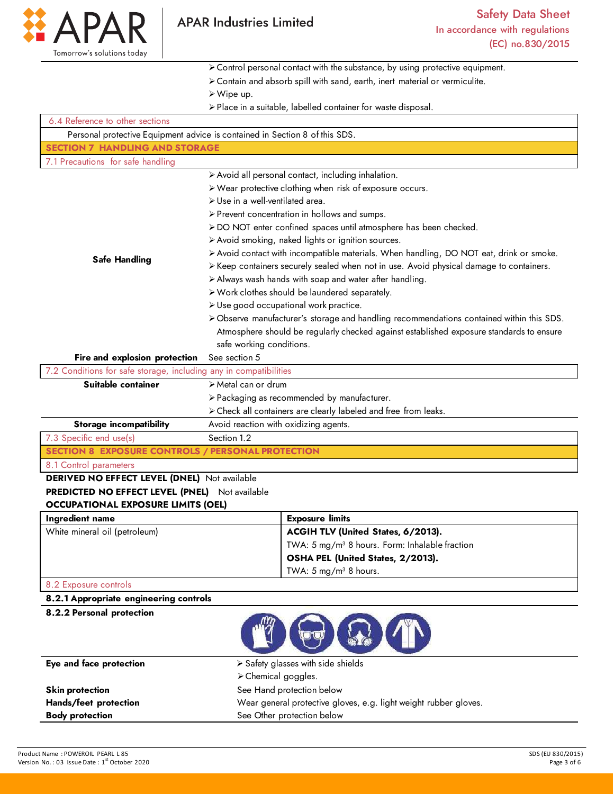

Control personal contact with the substance, by using protective equipment.

- Contain and absorb spill with sand, earth, inert material or vermiculite.
- Wipe up.
- Place in a suitable, labelled container for waste disposal.

| 6.4 Reference to other sections                                   |                                                                                          |  |  |
|-------------------------------------------------------------------|------------------------------------------------------------------------------------------|--|--|
|                                                                   | Personal protective Equipment advice is contained in Section 8 of this SDS.              |  |  |
| <b>SECTION 7 HANDLING AND STORAGE</b>                             |                                                                                          |  |  |
| 7.1 Precautions for safe handling                                 |                                                                                          |  |  |
|                                                                   | > Avoid all personal contact, including inhalation.                                      |  |  |
|                                                                   | > Wear protective clothing when risk of exposure occurs.                                 |  |  |
|                                                                   | > Use in a well-ventilated area.                                                         |  |  |
|                                                                   | > Prevent concentration in hollows and sumps.                                            |  |  |
|                                                                   | > DO NOT enter confined spaces until atmosphere has been checked.                        |  |  |
|                                                                   | > Avoid smoking, naked lights or ignition sources.                                       |  |  |
| <b>Safe Handling</b>                                              | > Avoid contact with incompatible materials. When handling, DO NOT eat, drink or smoke.  |  |  |
|                                                                   | > Keep containers securely sealed when not in use. Avoid physical damage to containers.  |  |  |
|                                                                   | > Always wash hands with soap and water after handling.                                  |  |  |
|                                                                   | > Work clothes should be laundered separately.                                           |  |  |
|                                                                   | > Use good occupational work practice.                                                   |  |  |
|                                                                   | > Observe manufacturer's storage and handling recommendations contained within this SDS. |  |  |
|                                                                   | Atmosphere should be regularly checked against established exposure standards to ensure  |  |  |
|                                                                   | safe working conditions.                                                                 |  |  |
| Fire and explosion protection                                     | See section 5                                                                            |  |  |
| 7.2 Conditions for safe storage, including any in compatibilities |                                                                                          |  |  |
| Suitable container                                                | > Metal can or drum                                                                      |  |  |
|                                                                   | > Packaging as recommended by manufacturer.                                              |  |  |
|                                                                   | > Check all containers are clearly labeled and free from leaks.                          |  |  |
| <b>Storage incompatibility</b>                                    | Avoid reaction with oxidizing agents.                                                    |  |  |
| 7.3 Specific end use(s)                                           | Section 1.2                                                                              |  |  |
| <b>SECTION 8 EXPOSURE CONTROLS / PERSONAL PROTECTION</b>          |                                                                                          |  |  |
| 8.1 Control parameters                                            |                                                                                          |  |  |
| <b>DERIVED NO EFFECT LEVEL (DNEL)</b> Not available               |                                                                                          |  |  |
| PREDICTED NO EFFECT LEVEL (PNEL) Not available                    |                                                                                          |  |  |
| <b>OCCUPATIONAL EXPOSURE LIMITS (OEL)</b>                         |                                                                                          |  |  |
| Ingredient name                                                   | <b>Exposure limits</b>                                                                   |  |  |
| White mineral oil (petroleum)                                     | ACGIH TLV (United States, 6/2013).                                                       |  |  |
|                                                                   | TWA: 5 mg/m <sup>3</sup> 8 hours. Form: Inhalable fraction                               |  |  |
|                                                                   | OSHA PEL (United States, 2/2013).                                                        |  |  |
|                                                                   | TWA: $5 \text{ mg/m}^3$ 8 hours.                                                         |  |  |
| 8.2 Exposure controls                                             |                                                                                          |  |  |
| 8.2.1 Appropriate engineering controls                            |                                                                                          |  |  |
| 8.2.2 Personal protection                                         |                                                                                          |  |  |

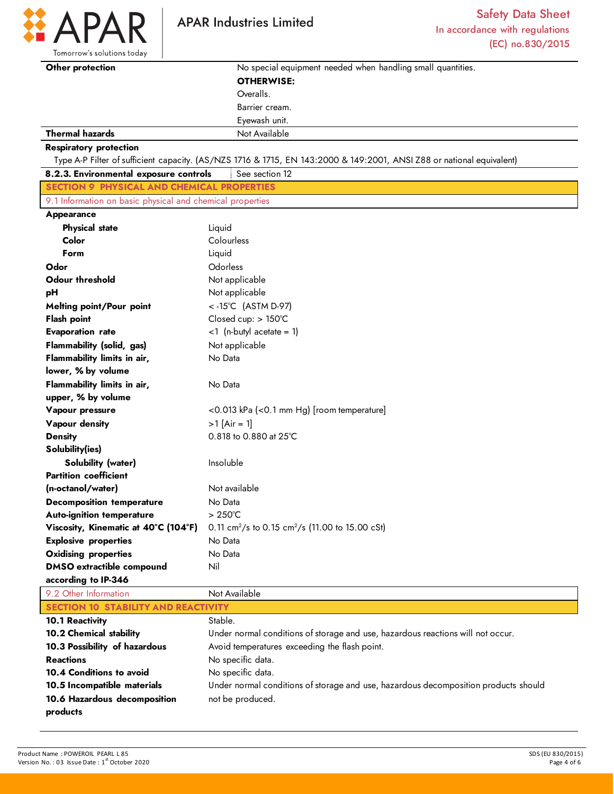

 $\mathbf D$ 

| Tomorrow's solutions today                                |                                                                                                                       |
|-----------------------------------------------------------|-----------------------------------------------------------------------------------------------------------------------|
| Other protection                                          | No special equipment needed when handling small quantities.                                                           |
|                                                           | <b>OTHERWISE:</b>                                                                                                     |
|                                                           | Overalls.                                                                                                             |
|                                                           | Barrier cream.                                                                                                        |
|                                                           | Eyewash unit.                                                                                                         |
| <b>Thermal hazards</b>                                    | Not Available                                                                                                         |
| <b>Respiratory protection</b>                             |                                                                                                                       |
|                                                           | Type A-P Filter of sufficient capacity. (AS/NZS 1716 & 1715, EN 143:2000 & 149:2001, ANSI Z88 or national equivalent) |
| 8.2.3. Environmental exposure controls                    | See section 12                                                                                                        |
| <b>SECTION 9 PHYSICAL AND CHEMICAL PROPERTIES</b>         |                                                                                                                       |
| 9.1 Information on basic physical and chemical properties |                                                                                                                       |
| Appearance                                                |                                                                                                                       |
| <b>Physical state</b>                                     | Liquid                                                                                                                |
| Color                                                     | Colourless                                                                                                            |
| Form                                                      | Liquid                                                                                                                |
| Odor                                                      | Odorless                                                                                                              |
| <b>Odour threshold</b>                                    | Not applicable                                                                                                        |
| pH                                                        | Not applicable                                                                                                        |
| Melting point/Pour point                                  | <-15°C (ASTM D-97)                                                                                                    |
| <b>Flash point</b>                                        | Closed cup: > 150°C                                                                                                   |
| <b>Evaporation rate</b>                                   | $<$ 1 (n-butyl acetate = 1)                                                                                           |
| Flammability (solid, gas)                                 | Not applicable                                                                                                        |
| Flammability limits in air,                               | No Data                                                                                                               |
| lower, % by volume                                        |                                                                                                                       |
| Flammability limits in air,                               | No Data                                                                                                               |
| upper, % by volume                                        |                                                                                                                       |
| Vapour pressure                                           | <0.013 kPa (<0.1 mm Hg) [room temperature]                                                                            |
| Vapour density                                            | $>1$ [Air = 1]                                                                                                        |
| <b>Density</b>                                            | 0.818 to 0.880 at 25°C                                                                                                |
| Solubility(ies)                                           |                                                                                                                       |
| <b>Solubility (water)</b>                                 | Insoluble                                                                                                             |
| <b>Partition coefficient</b>                              |                                                                                                                       |
| (n-octanol/water)                                         | Not available                                                                                                         |
| <b>Decomposition temperature</b>                          | No Data                                                                                                               |
| <b>Auto-ignition temperature</b>                          | $>250^{\circ}$ C                                                                                                      |
| Viscosity, Kinematic at 40°C (104°F)                      | 0.11 cm <sup>2</sup> /s to 0.15 cm <sup>2</sup> /s (11.00 to 15.00 cSt)                                               |
| <b>Explosive properties</b>                               | No Data                                                                                                               |
| <b>Oxidising properties</b>                               | No Data                                                                                                               |
| <b>DMSO</b> extractible compound                          | Nil                                                                                                                   |
| according to IP-346                                       |                                                                                                                       |
|                                                           |                                                                                                                       |

| 9.2 Other Information                      | Not Available                                                                       |  |
|--------------------------------------------|-------------------------------------------------------------------------------------|--|
| <b>SECTION 10 STABILITY AND REACTIVITY</b> |                                                                                     |  |
| <b>10.1 Reactivity</b>                     | Stable.                                                                             |  |
| 10.2 Chemical stability                    | Under normal conditions of storage and use, hazardous reactions will not occur.     |  |
| 10.3 Possibility of hazardous              | Avoid temperatures exceeding the flash point.                                       |  |
| <b>Reactions</b>                           | No specific data.                                                                   |  |
| 10.4 Conditions to avoid                   | No specific data.                                                                   |  |
| 10.5 Incompatible materials                | Under normal conditions of storage and use, hazardous decomposition products should |  |
| 10.6 Hazardous decomposition               | not be produced.                                                                    |  |
| products                                   |                                                                                     |  |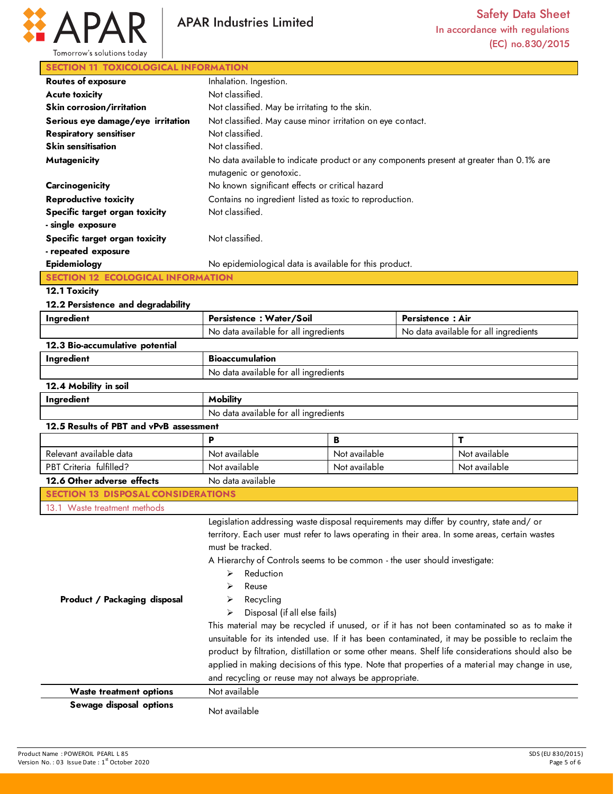

## **SECTION 11 TOXICOLOGICAL INFORMATION**

| <b>Routes of exposure</b>         | Inhalation. Ingestion.                                                                                              |
|-----------------------------------|---------------------------------------------------------------------------------------------------------------------|
| <b>Acute toxicity</b>             | Not classified.                                                                                                     |
| Skin corrosion/irritation         | Not classified. May be irritating to the skin.                                                                      |
| Serious eye damage/eye irritation | Not classified. May cause minor irritation on eye contact.                                                          |
| <b>Respiratory sensitiser</b>     | Not classified.                                                                                                     |
| <b>Skin sensitisation</b>         | Not classified.                                                                                                     |
| <b>Mutagenicity</b>               | No data available to indicate product or any components present at greater than 0.1% are<br>mutagenic or genotoxic. |
| Carcinogenicity                   | No known significant effects or critical hazard                                                                     |
| <b>Reproductive toxicity</b>      | Contains no ingredient listed as toxic to reproduction.                                                             |
| Specific target organ toxicity    | Not classified.                                                                                                     |
| - single exposure                 |                                                                                                                     |
| Specific target organ toxicity    | Not classified.                                                                                                     |
| - repeated exposure               |                                                                                                                     |
| Epidemiology                      | No epidemiological data is available for this product.                                                              |
|                                   |                                                                                                                     |

**12.1 Toxicity** 

**12.2 Persistence and degradability** 

| Ingredient                                | Persistence: Water/Soil                                                                                                                                                                                                                                                                                                                                                                                                               |               | <b>Persistence: Air</b>               |                                                                                                                                                                                                                                                                                                                                                                                                         |
|-------------------------------------------|---------------------------------------------------------------------------------------------------------------------------------------------------------------------------------------------------------------------------------------------------------------------------------------------------------------------------------------------------------------------------------------------------------------------------------------|---------------|---------------------------------------|---------------------------------------------------------------------------------------------------------------------------------------------------------------------------------------------------------------------------------------------------------------------------------------------------------------------------------------------------------------------------------------------------------|
|                                           | No data available for all ingredients                                                                                                                                                                                                                                                                                                                                                                                                 |               | No data available for all ingredients |                                                                                                                                                                                                                                                                                                                                                                                                         |
| 12.3 Bio-accumulative potential           |                                                                                                                                                                                                                                                                                                                                                                                                                                       |               |                                       |                                                                                                                                                                                                                                                                                                                                                                                                         |
| Ingredient                                | <b>Bioaccumulation</b>                                                                                                                                                                                                                                                                                                                                                                                                                |               |                                       |                                                                                                                                                                                                                                                                                                                                                                                                         |
|                                           | No data available for all ingredients                                                                                                                                                                                                                                                                                                                                                                                                 |               |                                       |                                                                                                                                                                                                                                                                                                                                                                                                         |
| 12.4 Mobility in soil                     |                                                                                                                                                                                                                                                                                                                                                                                                                                       |               |                                       |                                                                                                                                                                                                                                                                                                                                                                                                         |
| Ingredient                                | <b>Mobility</b>                                                                                                                                                                                                                                                                                                                                                                                                                       |               |                                       |                                                                                                                                                                                                                                                                                                                                                                                                         |
|                                           | No data available for all ingredients                                                                                                                                                                                                                                                                                                                                                                                                 |               |                                       |                                                                                                                                                                                                                                                                                                                                                                                                         |
| 12.5 Results of PBT and vPvB assessment   |                                                                                                                                                                                                                                                                                                                                                                                                                                       |               |                                       |                                                                                                                                                                                                                                                                                                                                                                                                         |
|                                           | P                                                                                                                                                                                                                                                                                                                                                                                                                                     | B             |                                       | т                                                                                                                                                                                                                                                                                                                                                                                                       |
| Relevant available data                   | Not available                                                                                                                                                                                                                                                                                                                                                                                                                         | Not available |                                       | Not available                                                                                                                                                                                                                                                                                                                                                                                           |
| PBT Criteria fulfilled?                   | Not available                                                                                                                                                                                                                                                                                                                                                                                                                         | Not available |                                       | Not available                                                                                                                                                                                                                                                                                                                                                                                           |
| 12.6 Other adverse effects                | No data available                                                                                                                                                                                                                                                                                                                                                                                                                     |               |                                       |                                                                                                                                                                                                                                                                                                                                                                                                         |
| <b>SECTION 13 DISPOSAL CONSIDERATIONS</b> |                                                                                                                                                                                                                                                                                                                                                                                                                                       |               |                                       |                                                                                                                                                                                                                                                                                                                                                                                                         |
| 13.1 Waste treatment methods              |                                                                                                                                                                                                                                                                                                                                                                                                                                       |               |                                       |                                                                                                                                                                                                                                                                                                                                                                                                         |
| Product / Packaging disposal              | Legislation addressing waste disposal requirements may differ by country, state and/ or<br>territory. Each user must refer to laws operating in their area. In some areas, certain wastes<br>must be tracked.<br>A Hierarchy of Controls seems to be common - the user should investigate:<br>Reduction<br>⋗<br>Reuse<br>Recycling<br>⋗<br>Disposal (if all else fails)<br>↘<br>and recycling or reuse may not always be appropriate. |               |                                       | This material may be recycled if unused, or if it has not been contaminated so as to make it<br>unsuitable for its intended use. If it has been contaminated, it may be possible to reclaim the<br>product by filtration, distillation or some other means. Shelf life considerations should also be<br>applied in making decisions of this type. Note that properties of a material may change in use, |
| <b>Waste treatment options</b>            | Not available                                                                                                                                                                                                                                                                                                                                                                                                                         |               |                                       |                                                                                                                                                                                                                                                                                                                                                                                                         |
| Sewage disposal options                   | Not available                                                                                                                                                                                                                                                                                                                                                                                                                         |               |                                       |                                                                                                                                                                                                                                                                                                                                                                                                         |